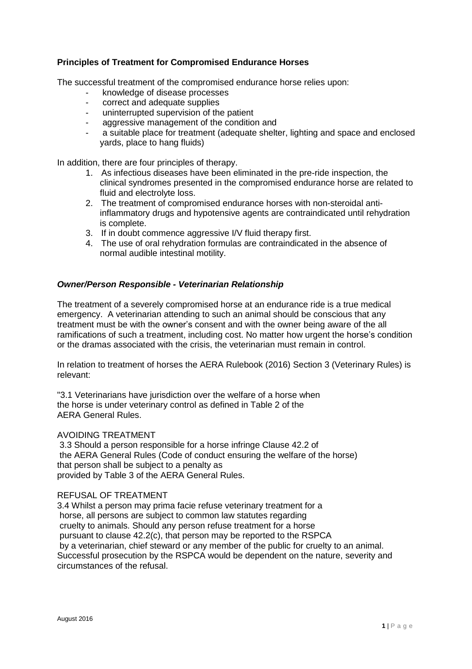# **Principles of Treatment for Compromised Endurance Horses**

The successful treatment of the compromised endurance horse relies upon:

- knowledge of disease processes
- correct and adequate supplies
- uninterrupted supervision of the patient
- aggressive management of the condition and
- a suitable place for treatment (adequate shelter, lighting and space and enclosed yards, place to hang fluids)

In addition, there are four principles of therapy.

- 1. As infectious diseases have been eliminated in the pre-ride inspection, the clinical syndromes presented in the compromised endurance horse are related to fluid and electrolyte loss.
- 2. The treatment of compromised endurance horses with non-steroidal antiinflammatory drugs and hypotensive agents are contraindicated until rehydration is complete.
- 3. If in doubt commence aggressive I/V fluid therapy first.
- 4. The use of oral rehydration formulas are contraindicated in the absence of normal audible intestinal motility.

### *Owner/Person Responsible - Veterinarian Relationship*

The treatment of a severely compromised horse at an endurance ride is a true medical emergency. A veterinarian attending to such an animal should be conscious that any treatment must be with the owner's consent and with the owner being aware of the all ramifications of such a treatment, including cost. No matter how urgent the horse's condition or the dramas associated with the crisis, the veterinarian must remain in control.

In relation to treatment of horses the AERA Rulebook (2016) Section 3 (Veterinary Rules) is relevant:

"3.1 Veterinarians have jurisdiction over the welfare of a horse when the horse is under veterinary control as defined in Table 2 of the AERA General Rules.

#### AVOIDING TREATMENT

3.3 Should a person responsible for a horse infringe Clause 42.2 of the AERA General Rules (Code of conduct ensuring the welfare of the horse) that person shall be subject to a penalty as provided by Table 3 of the AERA General Rules.

#### REFUSAL OF TREATMENT

3.4 Whilst a person may prima facie refuse veterinary treatment for a horse, all persons are subject to common law statutes regarding cruelty to animals. Should any person refuse treatment for a horse pursuant to clause 42.2(c), that person may be reported to the RSPCA by a veterinarian, chief steward or any member of the public for cruelty to an animal. Successful prosecution by the RSPCA would be dependent on the nature, severity and circumstances of the refusal.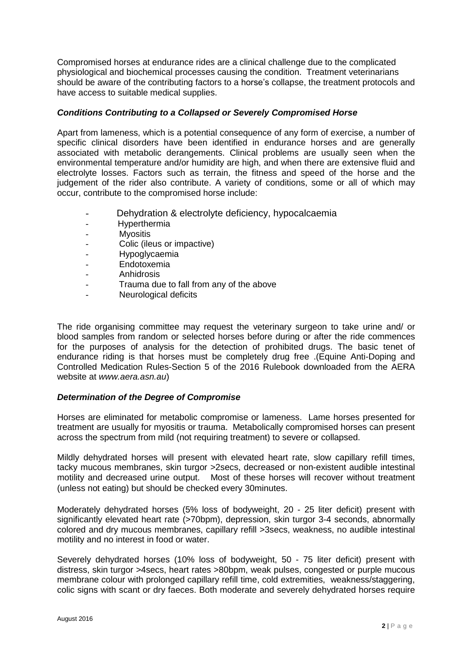Compromised horses at endurance rides are a clinical challenge due to the complicated physiological and biochemical processes causing the condition. Treatment veterinarians should be aware of the contributing factors to a horse's collapse, the treatment protocols and have access to suitable medical supplies.

# *Conditions Contributing to a Collapsed or Severely Compromised Horse*

Apart from lameness, which is a potential consequence of any form of exercise, a number of specific clinical disorders have been identified in endurance horses and are generally associated with metabolic derangements. Clinical problems are usually seen when the environmental temperature and/or humidity are high, and when there are extensive fluid and electrolyte losses. Factors such as terrain, the fitness and speed of the horse and the judgement of the rider also contribute. A variety of conditions, some or all of which may occur, contribute to the compromised horse include:

- Dehydration & electrolyte deficiency, hypocalcaemia
- Hyperthermia
- Myositis
- Colic (ileus or impactive)
- Hypoglycaemia
- Endotoxemia
- **Anhidrosis**
- Trauma due to fall from any of the above
- Neurological deficits

The ride organising committee may request the veterinary surgeon to take urine and/ or blood samples from random or selected horses before during or after the ride commences for the purposes of analysis for the detection of prohibited drugs. The basic tenet of endurance riding is that horses must be completely drug free .(Equine Anti-Doping and Controlled Medication Rules-Section 5 of the 2016 Rulebook downloaded from the AERA website at *www.aera.asn.au*)

# *Determination of the Degree of Compromise*

Horses are eliminated for metabolic compromise or lameness. Lame horses presented for treatment are usually for myositis or trauma. Metabolically compromised horses can present across the spectrum from mild (not requiring treatment) to severe or collapsed.

Mildly dehydrated horses will present with elevated heart rate, slow capillary refill times, tacky mucous membranes, skin turgor >2secs, decreased or non-existent audible intestinal motility and decreased urine output. Most of these horses will recover without treatment (unless not eating) but should be checked every 30minutes.

Moderately dehydrated horses (5% loss of bodyweight, 20 - 25 liter deficit) present with significantly elevated heart rate (>70bpm), depression, skin turgor 3-4 seconds, abnormally colored and dry mucous membranes, capillary refill >3secs, weakness, no audible intestinal motility and no interest in food or water.

Severely dehydrated horses (10% loss of bodyweight, 50 - 75 liter deficit) present with distress, skin turgor >4secs, heart rates >80bpm, weak pulses, congested or purple mucous membrane colour with prolonged capillary refill time, cold extremities, weakness/staggering, colic signs with scant or dry faeces. Both moderate and severely dehydrated horses require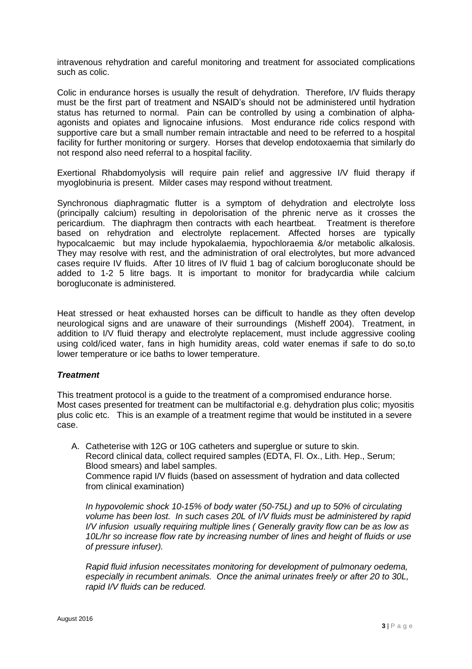intravenous rehydration and careful monitoring and treatment for associated complications such as colic.

Colic in endurance horses is usually the result of dehydration. Therefore, I/V fluids therapy must be the first part of treatment and NSAID's should not be administered until hydration status has returned to normal. Pain can be controlled by using a combination of alphaagonists and opiates and lignocaine infusions. Most endurance ride colics respond with supportive care but a small number remain intractable and need to be referred to a hospital facility for further monitoring or surgery. Horses that develop endotoxaemia that similarly do not respond also need referral to a hospital facility.

Exertional Rhabdomyolysis will require pain relief and aggressive I/V fluid therapy if myoglobinuria is present. Milder cases may respond without treatment.

Synchronous diaphragmatic flutter is a symptom of dehydration and electrolyte loss (principally calcium) resulting in depolorisation of the phrenic nerve as it crosses the pericardium. The diaphragm then contracts with each heartbeat. Treatment is therefore based on rehydration and electrolyte replacement. Affected horses are typically hypocalcaemic but may include hypokalaemia, hypochloraemia &/or metabolic alkalosis. They may resolve with rest, and the administration of oral electrolytes, but more advanced cases require IV fluids. After 10 litres of IV fluid 1 bag of calcium borogluconate should be added to 1-2 5 litre bags. It is important to monitor for bradycardia while calcium borogluconate is administered.

Heat stressed or heat exhausted horses can be difficult to handle as they often develop neurological signs and are unaware of their surroundings (Misheff 2004). Treatment, in addition to I/V fluid therapy and electrolyte replacement, must include aggressive cooling using cold/iced water, fans in high humidity areas, cold water enemas if safe to do so,to lower temperature or ice baths to lower temperature.

#### *Treatment*

This treatment protocol is a guide to the treatment of a compromised endurance horse. Most cases presented for treatment can be multifactorial e.g. dehydration plus colic; myositis plus colic etc. This is an example of a treatment regime that would be instituted in a severe case.

A. Catheterise with 12G or 10G catheters and superglue or suture to skin. Record clinical data, collect required samples (EDTA, Fl. Ox., Lith. Hep., Serum; Blood smears) and label samples. Commence rapid I/V fluids (based on assessment of hydration and data collected from clinical examination)

*In hypovolemic shock 10-15% of body water (50-75L) and up to 50% of circulating volume has been lost. In such cases 20L of I/V fluids must be administered by rapid I/V infusion usually requiring multiple lines ( Generally gravity flow can be as low as 10L/hr so increase flow rate by increasing number of lines and height of fluids or use of pressure infuser).*

*Rapid fluid infusion necessitates monitoring for development of pulmonary oedema, especially in recumbent animals. Once the animal urinates freely or after 20 to 30L, rapid I/V fluids can be reduced.*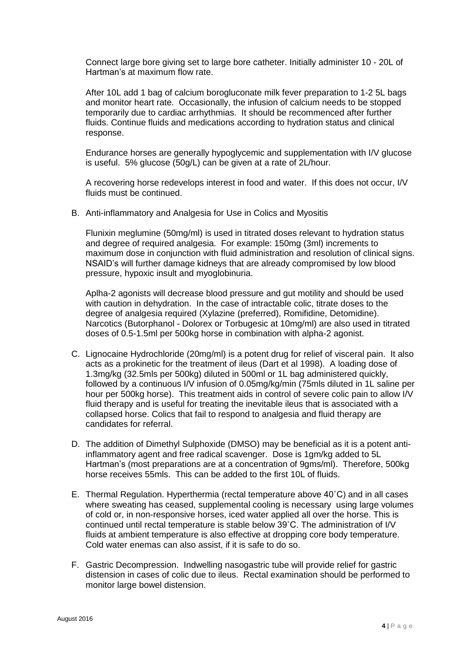Connect large bore giving set to large bore catheter. Initially administer 10 - 20L of Hartman's at maximum flow rate.

After 10L add 1 bag of calcium borogluconate milk fever preparation to 1-2 5L bags and monitor heart rate. Occasionally, the infusion of calcium needs to be stopped temporarily due to cardiac arrhythmias. It should be recommenced after further fluids. Continue fluids and medications according to hydration status and clinical response.

Endurance horses are generally hypoglycemic and supplementation with I/V glucose is useful. 5% glucose (50g/L) can be given at a rate of 2L/hour.

A recovering horse redevelops interest in food and water. If this does not occur, I/V fluids must be continued.

B. Anti-inflammatory and Analgesia for Use in Colics and Myositis

Flunixin meglumine (50mg/ml) is used in titrated doses relevant to hydration status and degree of required analgesia. For example: 150mg (3ml) increments to maximum dose in conjunction with fluid administration and resolution of clinical signs. NSAID's will further damage kidneys that are already compromised by low blood pressure, hypoxic insult and myoglobinuria.

Aplha-2 agonists will decrease blood pressure and gut motility and should be used with caution in dehydration. In the case of intractable colic, titrate doses to the degree of analgesia required (Xylazine (preferred), Romifidine, Detomidine). Narcotics (Butorphanol - Dolorex or Torbugesic at 10mg/ml) are also used in titrated doses of 0.5-1.5ml per 500kg horse in combination with alpha-2 agonist.

- C. Lignocaine Hydrochloride (20mg/ml) is a potent drug for relief of visceral pain. It also acts as a prokinetic for the treatment of ileus (Dart et al 1998). A loading dose of 1.3mg/kg (32.5mls per 500kg) diluted in 500ml or 1L bag administered quickly, followed by a continuous I/V infusion of 0.05mg/kg/min (75mls diluted in 1L saline per hour per 500kg horse). This treatment aids in control of severe colic pain to allow I/V fluid therapy and is useful for treating the inevitable ileus that is associated with a collapsed horse. Colics that fail to respond to analgesia and fluid therapy are candidates for referral.
- D. The addition of Dimethyl Sulphoxide (DMSO) may be beneficial as it is a potent antiinflammatory agent and free radical scavenger. Dose is 1gm/kg added to 5L Hartman's (most preparations are at a concentration of 9gms/ml). Therefore, 500kg horse receives 55mls. This can be added to the first 10L of fluids.
- E. Thermal Regulation. Hyperthermia (rectal temperature above 40˚C) and in all cases where sweating has ceased, supplemental cooling is necessary using large volumes of cold or, in non-responsive horses, iced water applied all over the horse. This is continued until rectal temperature is stable below 39˚C. The administration of I/V fluids at ambient temperature is also effective at dropping core body temperature. Cold water enemas can also assist, if it is safe to do so.
- F. Gastric Decompression. Indwelling nasogastric tube will provide relief for gastric distension in cases of colic due to ileus. Rectal examination should be performed to monitor large bowel distension.